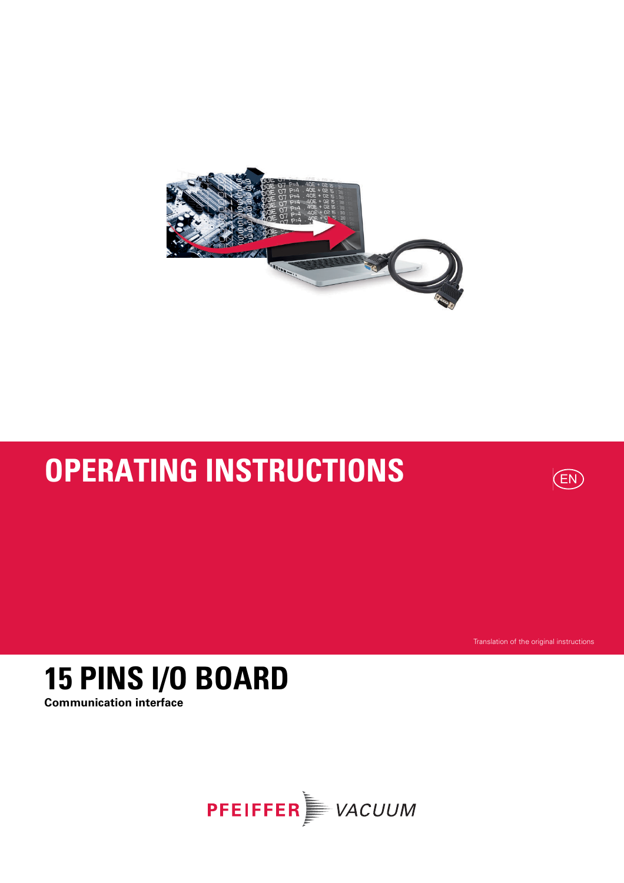

# **OPERATING INSTRUCTIONS**



Translation of the original instructions

## **15 PINS I/O BOARD Communication interface**

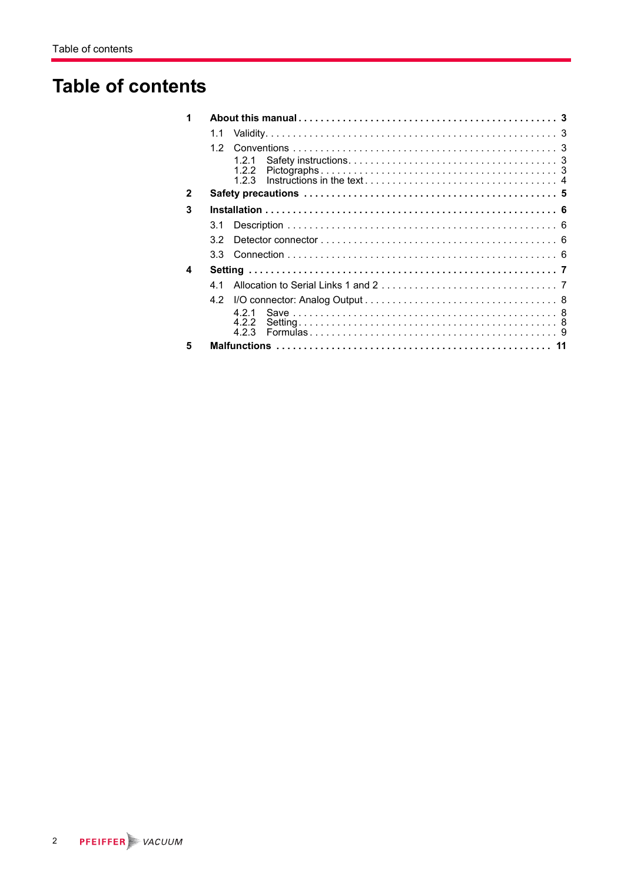## **Table of contents**

| 1            |                  |  |  |  |  |  |  |
|--------------|------------------|--|--|--|--|--|--|
|              | 1.1              |  |  |  |  |  |  |
|              | 12               |  |  |  |  |  |  |
|              | 121<br>1.2.2     |  |  |  |  |  |  |
| $\mathbf{2}$ |                  |  |  |  |  |  |  |
| 3            |                  |  |  |  |  |  |  |
|              | 3.1              |  |  |  |  |  |  |
|              | 32               |  |  |  |  |  |  |
|              | 3.3 <sub>1</sub> |  |  |  |  |  |  |
| 4            |                  |  |  |  |  |  |  |
|              | 41               |  |  |  |  |  |  |
|              | 4.2              |  |  |  |  |  |  |
|              | 421              |  |  |  |  |  |  |
|              | 4.2.2            |  |  |  |  |  |  |
| 5            |                  |  |  |  |  |  |  |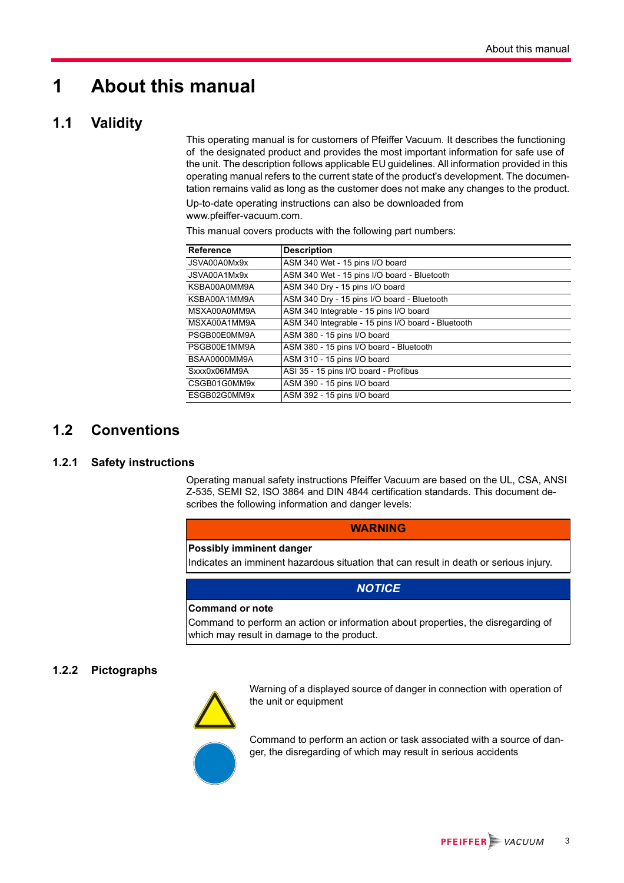## <span id="page-2-0"></span>**1 About this manual**

### <span id="page-2-1"></span>**1.1 Validity**

This operating manual is for customers of Pfeiffer Vacuum. It describes the functioning of the designated product and provides the most important information for safe use of the unit. The description follows applicable EU guidelines. All information provided in this operating manual refers to the current state of the product's development. The documentation remains valid as long as the customer does not make any changes to the product.

Up-to-date operating instructions can also be downloaded from www.pfeiffer-vacuum.com.

This manual covers products with the following part numbers:

| Reference    | <b>Description</b>                                 |
|--------------|----------------------------------------------------|
| JSVA00A0Mx9x | ASM 340 Wet - 15 pins I/O board                    |
| JSVA00A1Mx9x | ASM 340 Wet - 15 pins I/O board - Bluetooth        |
| KSBA00A0MM9A | ASM 340 Dry - 15 pins I/O board                    |
| KSBA00A1MM9A | ASM 340 Dry - 15 pins I/O board - Bluetooth        |
| MSXA00A0MM9A | ASM 340 Integrable - 15 pins I/O board             |
| MSXA00A1MM9A | ASM 340 Integrable - 15 pins I/O board - Bluetooth |
| PSGB00E0MM9A | ASM 380 - 15 pins I/O board                        |
| PSGB00E1MM9A | ASM 380 - 15 pins I/O board - Bluetooth            |
| BSAA0000MM9A | ASM 310 - 15 pins I/O board                        |
| Sxxx0x06MM9A | ASI 35 - 15 pins I/O board - Profibus              |
| CSGB01G0MM9x | ASM 390 - 15 pins I/O board                        |
| ESGB02G0MM9x | ASM 392 - 15 pins I/O board                        |

### <span id="page-2-2"></span>**1.2 Conventions**

### <span id="page-2-3"></span>**1.2.1 Safety instructions**

Operating manual safety instructions Pfeiffer Vacuum are based on the UL, CSA, ANSI Z-535, SEMI S2, ISO 3864 and DIN 4844 certification standards. This document describes the following information and danger levels:

### **WARNING**

### **Possibly imminent danger**

Indicates an imminent hazardous situation that can result in death or serious injury.

### *NOTICE*

### **Command or note**

Command to perform an action or information about properties, the disregarding of which may result in damage to the product.

### <span id="page-2-4"></span>**1.2.2 Pictographs**



Warning of a displayed source of danger in connection with operation of the unit or equipment

Command to perform an action or task associated with a source of danger, the disregarding of which may result in serious accidents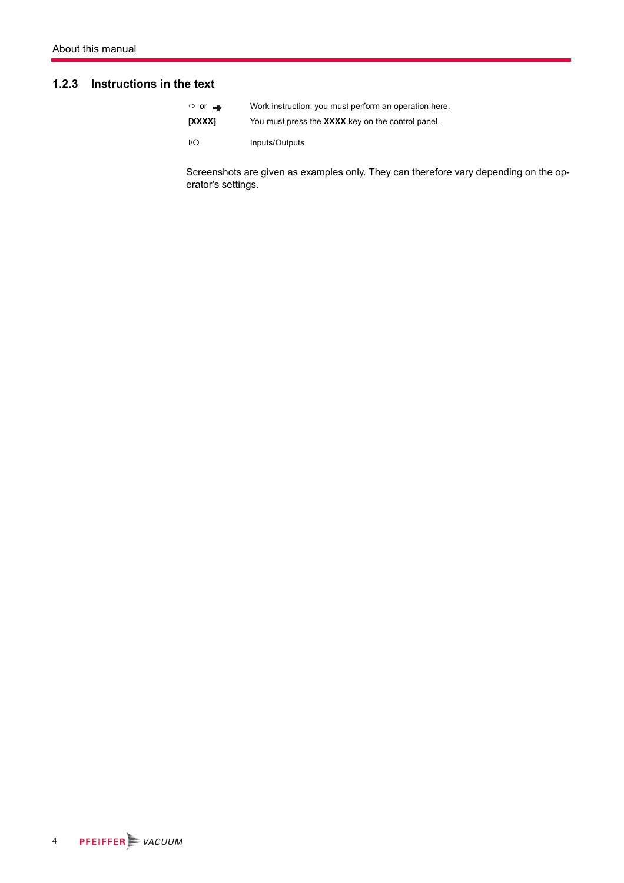### <span id="page-3-0"></span>**1.2.3 Instructions in the text**

| $\Rightarrow$ or $\rightarrow$ | Work instruction: you must perform an operation here. |
|--------------------------------|-------------------------------------------------------|
| <b>TXXXX1</b>                  | You must press the XXXX key on the control panel.     |
| I/O                            | Inputs/Outputs                                        |

Screenshots are given as examples only. They can therefore vary depending on the operator's settings.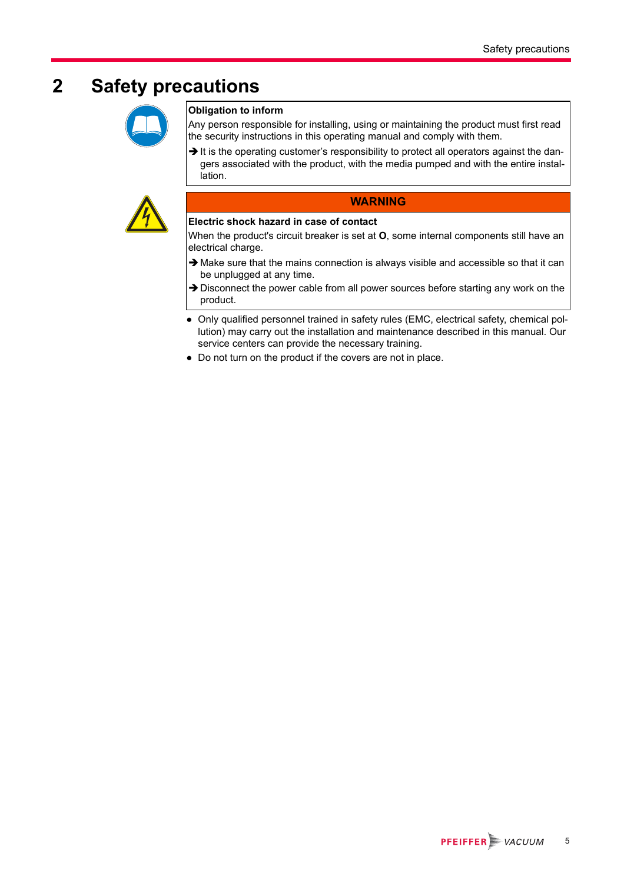## <span id="page-4-0"></span>**2 Safety precautions**



### **Obligation to inform**

Any person responsible for installing, using or maintaining the product must first read the security instructions in this operating manual and comply with them.

It is the operating customer's responsibility to protect all operators against the dangers associated with the product, with the media pumped and with the entire installation.



### **WARNING**

### **Electric shock hazard in case of contact**

When the product's circuit breaker is set at **O**, some internal components still have an electrical charge.

- $\rightarrow$  Make sure that the mains connection is always visible and accessible so that it can be unplugged at any time.
- > Disconnect the power cable from all power sources before starting any work on the product.
- Only qualified personnel trained in safety rules (EMC, electrical safety, chemical pollution) may carry out the installation and maintenance described in this manual. Our service centers can provide the necessary training.
- Do not turn on the product if the covers are not in place.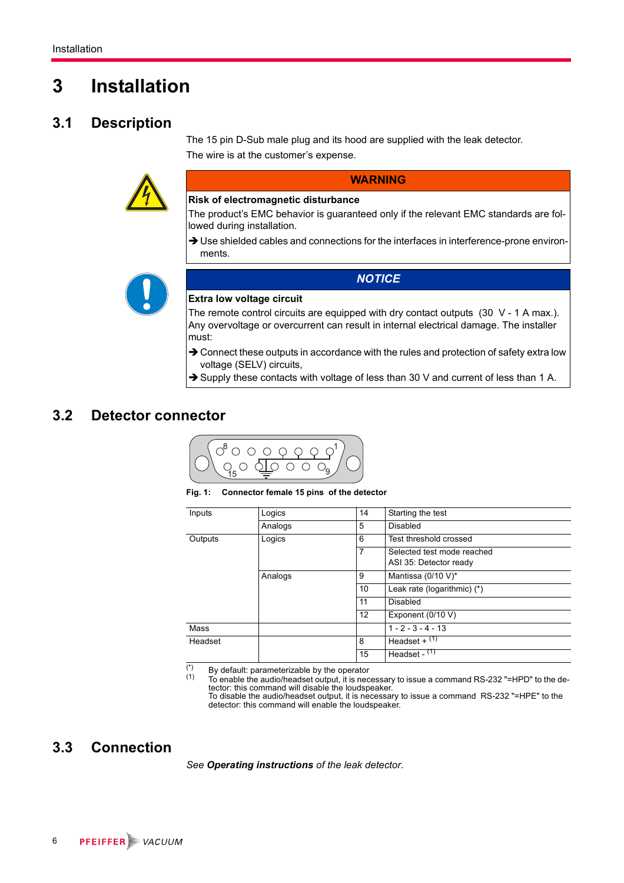## <span id="page-5-0"></span>**3 Installation**

### <span id="page-5-1"></span>**3.1 Description**

The 15 pin D-Sub male plug and its hood are supplied with the leak detector. The wire is at the customer's expense.



**WARNING**

### **Risk of electromagnetic disturbance**

The product's EMC behavior is guaranteed only if the relevant EMC standards are followed during installation.

> Use shielded cables and connections for the interfaces in interference-prone environments.

*NOTICE*



### **Extra low voltage circuit**

The remote control circuits are equipped with dry contact outputs (30 V - 1 A max.). Any overvoltage or overcurrent can result in internal electrical damage. The installer must:

- → Connect these outputs in accordance with the rules and protection of safety extra low voltage (SELV) circuits,
- Supply these contacts with voltage of less than 30 V and current of less than 1 A.

### <span id="page-5-2"></span>**3.2 Detector connector**



**Fig. 1: Connector female 15 pins of the detector**

| Inputs  | Logics  | 14 | Starting the test           |
|---------|---------|----|-----------------------------|
|         | Analogs | 5  | Disabled                    |
| Outputs | Logics  | 6  | Test threshold crossed      |
|         |         | 7  | Selected test mode reached  |
|         |         |    | ASI 35: Detector ready      |
|         | Analogs | 9  | Mantissa (0/10 V)*          |
|         |         | 10 | Leak rate (logarithmic) (*) |
|         |         | 11 | Disabled                    |
|         |         | 12 | Exponent (0/10 V)           |
| Mass    |         |    | $1 - 2 - 3 - 4 - 13$        |
| Headset |         | 8  | Headset + $(1)$             |
|         |         | 15 | Headset - $(1)$             |

(\*) By default: parameterizable by the operator  $(1)$  To enable the audio/beadset output it is nect

To enable the audio/headset output, it is necessary to issue a command RS-232 "=HPD" to the detector: this command will disable the loudspeaker.

To disable the audio/headset output, it is necessary to issue a command RS-232 "=HPE" to the detector: this command will enable the loudspeaker.

### <span id="page-5-3"></span>**3.3 Connection**

*See Operating instructions of the leak detector*.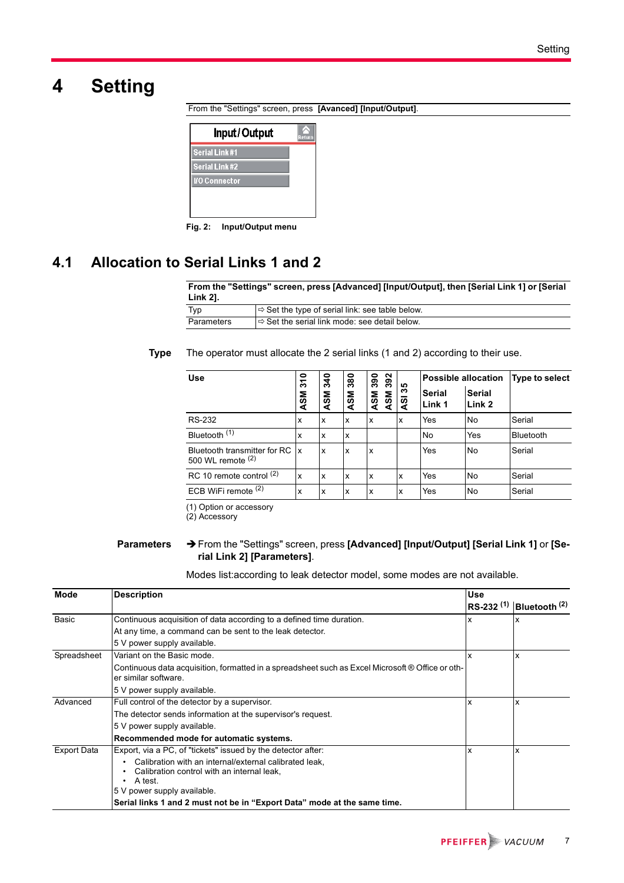## <span id="page-6-0"></span>**4 Setting**

From the "Settings" screen, press **[Avanced] [Input/Output]**.



**Fig. 2: Input/Output menu**

### <span id="page-6-1"></span>**4.1 Allocation to Serial Links 1 and 2**

#### **From the "Settings" screen, press [Advanced] [Input/Output], then [Serial Link 1] or [Serial Link 2].**

| Typ        | $\Rightarrow$ Set the type of serial link: see table below. |
|------------|-------------------------------------------------------------|
| Parameters | I⇒ Set the serial link mode: see detail below.              |

### **Type** The operator must allocate the 2 serial links (1 and 2) according to their use.

| <b>Use</b>                                             | $\bullet$<br>↽<br>ო | ទ<br>က် | 380 | 392<br>390        |           | <b>Possible allocation</b> |                         | Type to select   |
|--------------------------------------------------------|---------------------|---------|-----|-------------------|-----------|----------------------------|-------------------------|------------------|
|                                                        | <b>ASM</b>          | ΜS<br>∢ | ASM | <b>ASM</b><br>ASM | 35<br>ଟ୍ଟ | <b>Serial</b><br>Link 1    | <b>Serial</b><br>Link 2 |                  |
| <b>RS-232</b>                                          | x                   | X       | X   | x                 | ΙX        | Yes                        | No                      | Serial           |
| Bluetooth <sup>(1)</sup>                               | x                   | x       | X   |                   |           | No                         | Yes                     | <b>Bluetooth</b> |
| Bluetooth transmitter for RC  x<br>500 WL remote $(2)$ |                     | X       | X   | x                 |           | Yes                        | No                      | Serial           |
| RC 10 remote control (2)                               | x                   | X       | X   | x                 | ΙX        | Yes                        | No                      | Serial           |
| ECB WiFi remote $(2)$                                  | x                   | x       | X   | x                 | ΙX        | Yes                        | No                      | Serial           |

(1) Option or accessory

(2) Accessory

#### **Parameters** From the "Settings" screen, press **[Advanced] [Input/Output] [Serial Link 1]** or **[Serial Link 2] [Parameters]**.

Modes list:according to leak detector model, some modes are not available.

| Mode               | <b>Description</b>                                                                                                                                       | <b>Use</b>     |                 |
|--------------------|----------------------------------------------------------------------------------------------------------------------------------------------------------|----------------|-----------------|
|                    |                                                                                                                                                          | $RS-232^{(1)}$ | Bluetooth $(2)$ |
| Basic              | Continuous acquisition of data according to a defined time duration.                                                                                     | x              | x               |
|                    | At any time, a command can be sent to the leak detector.                                                                                                 |                |                 |
|                    | 5 V power supply available.                                                                                                                              |                |                 |
| Spreadsheet        | Variant on the Basic mode.                                                                                                                               | x              | x               |
|                    | Continuous data acquisition, formatted in a spreadsheet such as Excel Microsoft ® Office or oth-<br>er similar software.                                 |                |                 |
|                    | 5 V power supply available.                                                                                                                              |                |                 |
| Advanced           | Full control of the detector by a supervisor.                                                                                                            | x              | x               |
|                    | The detector sends information at the supervisor's request.                                                                                              |                |                 |
|                    | 5 V power supply available.                                                                                                                              |                |                 |
|                    | Recommended mode for automatic systems.                                                                                                                  |                |                 |
| <b>Export Data</b> | Export, via a PC, of "tickets" issued by the detector after:                                                                                             | x              | x               |
|                    | Calibration with an internal/external calibrated leak,<br>٠<br>Calibration control with an internal leak.<br>٠<br>A test.<br>5 V power supply available. |                |                 |
|                    | Serial links 1 and 2 must not be in "Export Data" mode at the same time.                                                                                 |                |                 |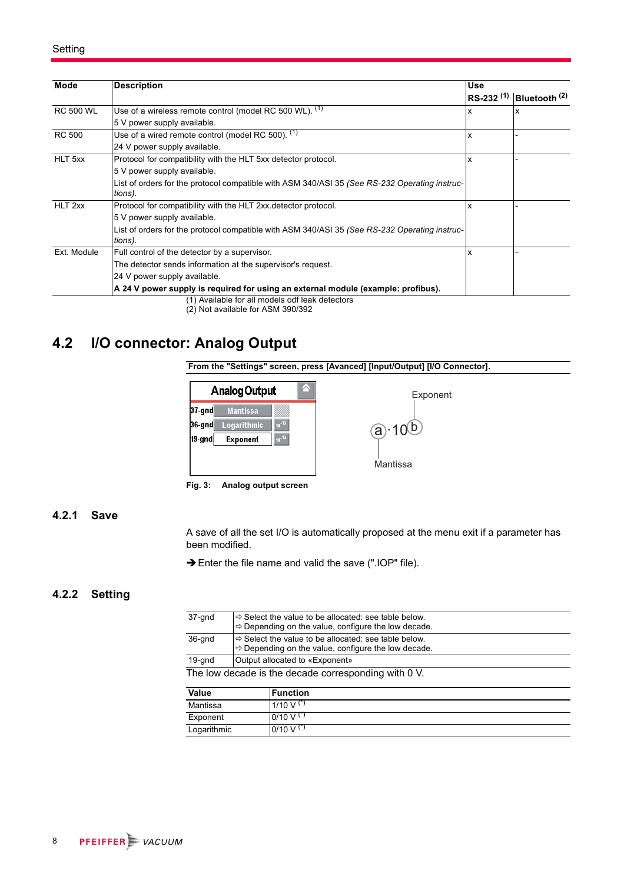| Mode             | <b>Description</b>                                                                            | <b>Use</b>     |                          |
|------------------|-----------------------------------------------------------------------------------------------|----------------|--------------------------|
|                  |                                                                                               | $RS-232^{(1)}$ | Bluetooth <sup>(2)</sup> |
| <b>RC 500 WL</b> | Use of a wireless remote control (model RC 500 WL). (1)                                       | x              | x                        |
|                  | 5 V power supply available.                                                                   |                |                          |
| <b>RC 500</b>    | Use of a wired remote control (model RC 500). <sup>(1)</sup>                                  | x              |                          |
|                  | 24 V power supply available.                                                                  |                |                          |
| HLT 5xx          | Protocol for compatibility with the HLT 5xx detector protocol.                                | x              |                          |
|                  | 5 V power supply available.                                                                   |                |                          |
|                  | List of orders for the protocol compatible with ASM 340/ASI 35 (See RS-232 Operating instruc- |                |                          |
|                  | tions).                                                                                       |                |                          |
| HLT 2xx          | Protocol for compatibility with the HLT 2xx detector protocol.                                | x              |                          |
|                  | 5 V power supply available.                                                                   |                |                          |
|                  | List of orders for the protocol compatible with ASM 340/ASI 35 (See RS-232 Operating instruc- |                |                          |
|                  | tions).                                                                                       |                |                          |
| Ext. Module      | Full control of the detector by a supervisor.                                                 | x              |                          |
|                  | The detector sends information at the supervisor's request.                                   |                |                          |
|                  | 24 V power supply available.                                                                  |                |                          |
|                  | A 24 V power supply is required for using an external module (example: profibus).             |                |                          |
|                  | (1) Available for all models odf leak detectors                                               |                |                          |

(2) Not available for ASM 390/392

### <span id="page-7-0"></span>**4.2 I/O connector: Analog Output**





**Fig. 3: Analog output screen**

### <span id="page-7-1"></span>**4.2.1 Save**

A save of all the set I/O is automatically proposed at the menu exit if a parameter has been modified.

→ Enter the file name and valid the save (".IOP" file).

### <span id="page-7-2"></span>**4.2.2 Setting**

| 37-gnd                                               | $\Rightarrow$ Select the value to be allocated: see table below.<br>$\Rightarrow$ Depending on the value, configure the low decade. |  |
|------------------------------------------------------|-------------------------------------------------------------------------------------------------------------------------------------|--|
| 36-gnd                                               | $\Rightarrow$ Select the value to be allocated: see table below.<br>$\Rightarrow$ Depending on the value, configure the low decade. |  |
| 19-gnd                                               | Output allocated to «Exponent»                                                                                                      |  |
| The low decade is the decade corresponding with 0 V. |                                                                                                                                     |  |

| Value       | <b>Function</b>               |
|-------------|-------------------------------|
| Mantissa    | $1/10 \text{ V}^{(\text{*})}$ |
| Exponent    | $0/10 \text{ V}^{(*)}$        |
| Logarithmic | $0/10 \text{ V}^{(*)}$        |
|             |                               |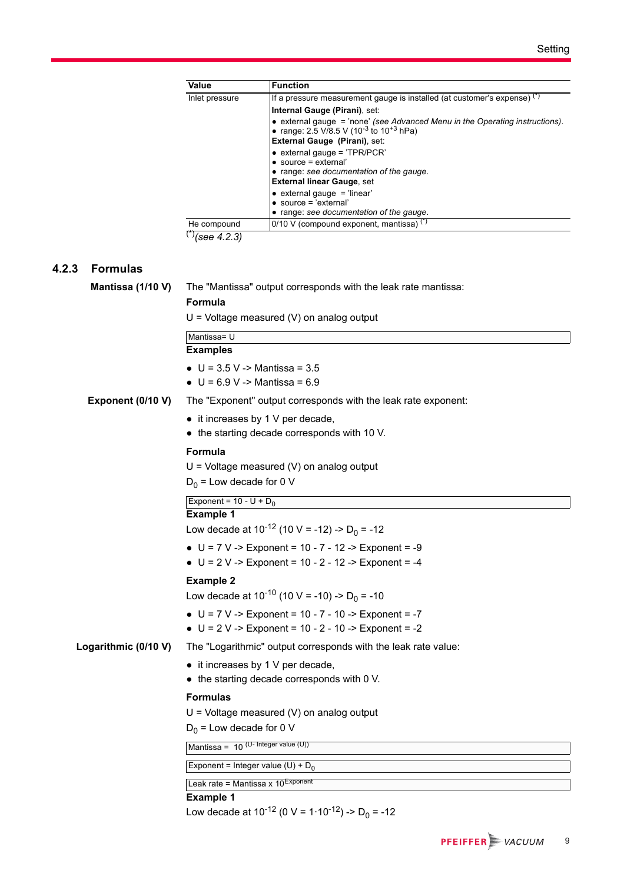| Value          | <b>Function</b>                                                                                                                                 |
|----------------|-------------------------------------------------------------------------------------------------------------------------------------------------|
| Inlet pressure | If a pressure measurement gauge is installed (at customer's expense) $(3)$                                                                      |
|                | Internal Gauge (Pirani), set:                                                                                                                   |
|                | • external gauge = 'none' (see Advanced Menu in the Operating instructions).<br>• range: 2.5 V/8.5 V (10 <sup>-3</sup> to 10 <sup>+3</sup> hPa) |
|                | External Gauge (Pirani), set:                                                                                                                   |
|                | $\bullet$ external gauge = 'TPR/PCR'                                                                                                            |
|                | $\bullet$ source = external'                                                                                                                    |
|                | • range: see documentation of the gauge.                                                                                                        |
|                | <b>External linear Gauge, set</b>                                                                                                               |
|                | $\bullet$ external gauge = 'linear'<br>$\bullet$ source = 'external'                                                                            |
|                | • range: see documentation of the gauge.                                                                                                        |
| He compound    | $0/10$ V (compound exponent, mantissa) $(*)$                                                                                                    |
| $\binom{8}{2}$ |                                                                                                                                                 |

(\*)*[\(see 4.2.3\)](#page-8-0)*

### <span id="page-8-0"></span>**4.2.3 Formulas**

| Mantissa (1/10 V)    | The "Mantissa" output corresponds with the leak rate mantissa:<br>Formula<br>$U =$ Voltage measured (V) on analog output |
|----------------------|--------------------------------------------------------------------------------------------------------------------------|
|                      | Mantissa= U                                                                                                              |
|                      | <b>Examples</b>                                                                                                          |
|                      | • $U = 3.5 V - Mantissa = 3.5$<br>• $U = 6.9 V - Mantissa = 6.9$                                                         |
| Exponent (0/10 V)    | The "Exponent" output corresponds with the leak rate exponent:                                                           |
|                      | • it increases by 1 V per decade,<br>• the starting decade corresponds with 10 V.                                        |
|                      | Formula                                                                                                                  |
|                      | $U =$ Voltage measured (V) on analog output                                                                              |
|                      | $D_0$ = Low decade for 0 V                                                                                               |
|                      | Exponent = $10 - U + D_0$                                                                                                |
|                      | <b>Example 1</b><br>Low decade at $10^{-12}$ (10 V = -12) -> D <sub>0</sub> = -12                                        |
|                      |                                                                                                                          |
|                      | • $U = 7 V - 5$ Exponent = 10 - 7 - 12 -> Exponent = -9<br>• $U = 2 V -$ Exponent = 10 - 2 - 12 -> Exponent = -4         |
|                      | <b>Example 2</b>                                                                                                         |
|                      | Low decade at $10^{-10}$ (10 V = -10) -> D <sub>0</sub> = -10                                                            |
|                      | • $U = 7 V - 5$ Exponent = 10 - 7 - 10 - $5$ Exponent = -7<br>• $U = 2 V -$ Exponent = 10 - 2 - 10 -> Exponent = -2      |
| Logarithmic (0/10 V) | The "Logarithmic" output corresponds with the leak rate value:                                                           |
|                      | • it increases by 1 V per decade,<br>• the starting decade corresponds with 0 V.                                         |
|                      | <b>Formulas</b>                                                                                                          |
|                      | $U =$ Voltage measured (V) on analog output                                                                              |
|                      | $D_0$ = Low decade for 0 V                                                                                               |
|                      | Mantissa = $10$ (U- Integer value (U))                                                                                   |
|                      | Exponent = Integer value (U) + $D_0$                                                                                     |
|                      | Leak rate = Mantissa x $10^{\text{Exponent}}$                                                                            |
|                      | <b>Example 1</b><br>Low decade at 10 <sup>-12</sup> (0 V = 1·10 <sup>-12</sup> ) -> D <sub>0</sub> = -12                 |
|                      |                                                                                                                          |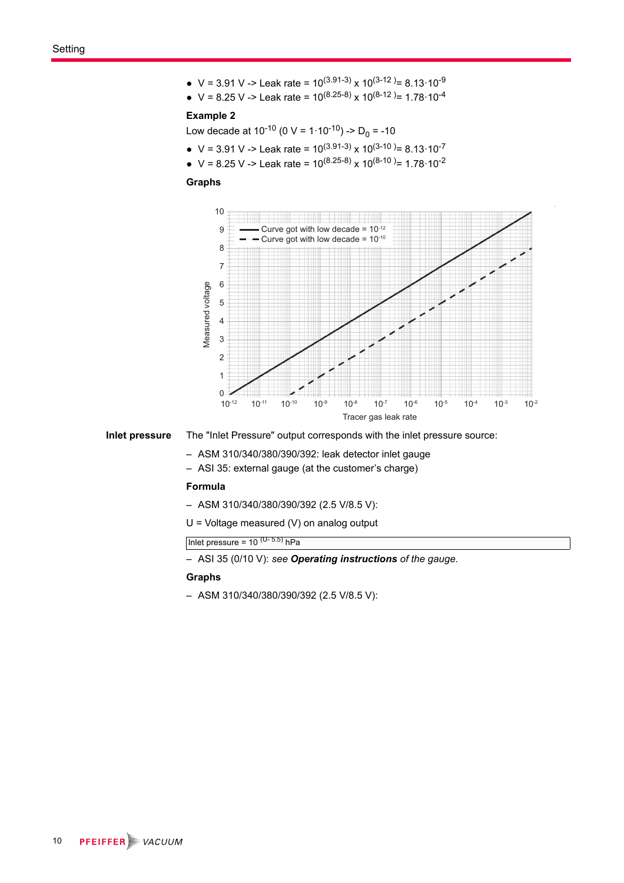- $V = 3.91$  V -> Leak rate =  $10^{(3.91-3)}$  x  $10^{(3-12)} = 8.13 \cdot 10^{-9}$
- $V = 8.25$  V -> Leak rate =  $10^{(8.25-8)}$  x  $10^{(8-12)}$  = 1.78·10<sup>-4</sup>

#### **Example 2**

Low decade at 10<sup>-10</sup> (0 V = 1·10<sup>-10</sup>) -> D<sub>0</sub> = -10

- V = 3.91 V -> Leak rate =  $10^{(3.91-3)} \times 10^{(3-10)} = 8.13 \cdot 10^{-7}$
- $V = 8.25$  V -> Leak rate =  $10^{(8.25-8)}$  x  $10^{(8-10)}$  = 1.78·10<sup>-2</sup>

### **Graphs**



**Inlet pressure** The "Inlet Pressure" output corresponds with the inlet pressure source:

- ASM 310/340/380/390/392: leak detector inlet gauge
- ASI 35: external gauge (at the customer's charge)

#### **Formula**

- ASM 310/340/380/390/392 (2.5 V/8.5 V):
- U = Voltage measured (V) on analog output

Inlet pressure =  $10^{(U-5.5)}$  hPa

– ASI 35 (0/10 V): *see Operating instructions of the gauge*.

#### **Graphs**

– ASM 310/340/380/390/392 (2.5 V/8.5 V):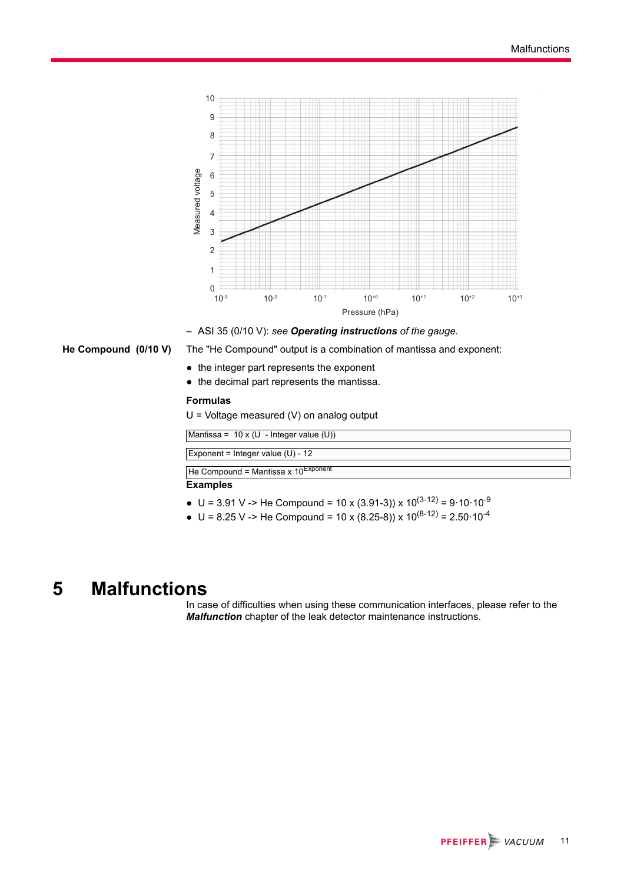

– ASI 35 (0/10 V): *see Operating instructions of the gauge*.

- **He Compound (0/10 V)** The "He Compound" output is a combination of mantissa and exponent:
	- the integer part represents the exponent
	- the decimal part represents the mantissa.

### **Formulas**

U = Voltage measured (V) on analog output

| Mantissa = $10 \times (U - Integer value (U))$  |  |
|-------------------------------------------------|--|
|                                                 |  |
| Exponent = Integer value $(U)$ - 12             |  |
| He Compound = Mantissa x $10^{\text{Exponent}}$ |  |
|                                                 |  |
| Evamples                                        |  |

#### **Examples**

- U = 3.91 V -> He Compound = 10 x (3.91-3)) x  $10^{(3-12)}$  = 9·10·10<sup>-9</sup>
- $U = 8.25$  V -> He Compound = 10 x (8.25-8)) x 10<sup>(8-12)</sup> = 2.50 $\cdot$ 10<sup>-4</sup>

## <span id="page-10-0"></span>**5 Malfunctions**

In case of difficulties when using these communication interfaces, please refer to the *Malfunction* chapter of the leak detector maintenance instructions.